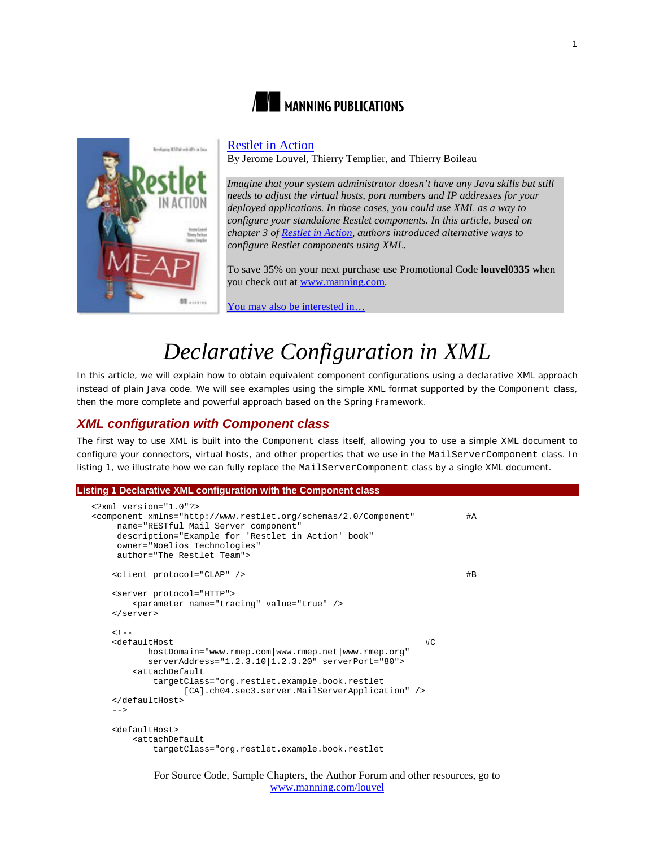



## [Restlet in Action](http://www.manning.com/louvel/)

By Jerome Louvel, Thierry Templier, and Thierry Boileau

*Imagine that your system administrator doesn't have any Java skills but still needs to adjust the virtual hosts, port numbers and IP addresses for your deployed applications. In those cases, you could use XML as a way to configure your standalone Restlet components. In this article, based on chapter 3 of [Restlet in Action,](http://www.manning.com/louvel/) authors introduced alternative ways to configure Restlet components using XML.*

To save 35% on your next purchase use Promotional Code **louvel0335** when you check out a[t www.manning.com.](http://www.manning.com/)

[You may also be interested in…](#page-5-0)

# *Declarative Configuration in XML*

In this article, we will explain how to obtain equivalent component configurations using a declarative XML approach instead of plain Java code. We will see examples using the simple XML format supported by the Component class, then the more complete and powerful approach based on the Spring Framework.

# *XML configuration with Component class*

The first way to use XML is built into the Component class itself, allowing you to use a simple XML document to configure your connectors, virtual hosts, and other properties that we use in the MailServerComponent class. In listing 1, we illustrate how we can fully replace the MailServerComponent class by a single XML document.

```
Listing 1 Declarative XML configuration with the Component class
```

```
<?xml version="1.0"?>
<component xmlns="http://www.restlet.org/schemas/2.0/Component" #A
     name="RESTful Mail Server component" 
     description="Example for 'Restlet in Action' book"
     owner="Noelios Technologies" 
     author="The Restlet Team">
    <client protocol="CLAP" /> #B
    <server protocol="HTTP">
        <parameter name="tracing" value="true" />
    </server>
   <!--<br><defaultHost
 <defaultHost #C
 hostDomain="www.rmep.com|www.rmep.net|www.rmep.org"
          serverAddress="1.2.3.10|1.2.3.20" serverPort="80">
        <attachDefault
           targetClass="org.restlet.example.book.restlet
                 [CA].ch04.sec3.server.MailServerApplication" />
    </defaultHost>
    -->
    <defaultHost>
        <attachDefault
           targetClass="org.restlet.example.book.restlet
```
For Source Code, Sample Chapters, the Author Forum and other resources, go to [www.manning.com/louvel](http://www.manning.com/louvel)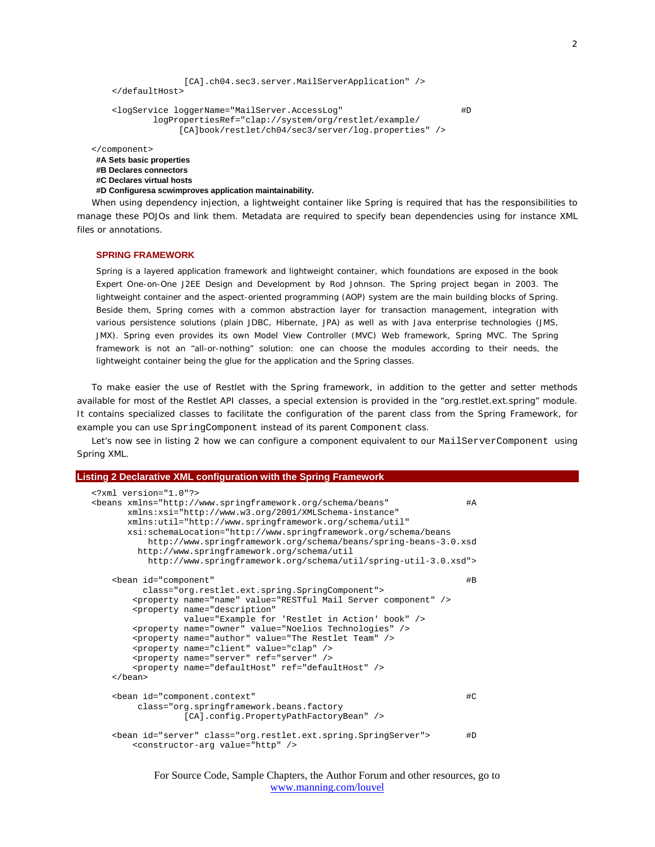```
 [CA].ch04.sec3.server.MailServerApplication" />
    </defaultHost>
     <logService loggerName="MailServer.AccessLog" #D
            logPropertiesRef="clap://system/org/restlet/example/
                 [CA]book/restlet/ch04/sec3/server/log.properties" />
</component>
#A Sets basic properties
#B Declares connectors
```

```
#C Declares virtual hosts
```

```
#D Configuresa scwimproves application maintainability.
```
When using dependency injection, a lightweight container like Spring is required that has the responsibilities to manage these POJOs and link them. Metadata are required to specify bean dependencies using for instance XML files or annotations.

### **SPRING FRAMEWORK**

Spring is a layered application framework and lightweight container, which foundations are exposed in the book *Expert One-on-One J2EE Design and Development* by Rod Johnson. The Spring project began in 2003. The lightweight container and the aspect-oriented programming (AOP) system are the main building blocks of Spring. Beside them, Spring comes with a common abstraction layer for transaction management, integration with various persistence solutions (plain JDBC, Hibernate, JPA) as well as with Java enterprise technologies (JMS, JMX). Spring even provides its own Model View Controller (MVC) Web framework, Spring MVC. The Spring framework is not an "all-or-nothing" solution: one can choose the modules according to their needs, the lightweight container being the glue for the application and the Spring classes.

To make easier the use of Restlet with the Spring framework, in addition to the getter and setter methods available for most of the Restlet API classes, a special extension is provided in the "org.restlet.ext.spring" module. It contains specialized classes to facilitate the configuration of the parent class from the Spring Framework, for example you can use SpringComponent instead of its parent Component class.

Let's now see in listing 2 how we can configure a component equivalent to our MailServerComponent using Spring XML.

```
Listing 2 Declarative XML configuration with the Spring Framework
  <?xml version="1.0"?>
  <beans xmlns="http://www.springframework.org/schema/beans" #A
          xmlns:xsi="http://www.w3.org/2001/XMLSchema-instance" 
          xmlns:util="http://www.springframework.org/schema/util"
          xsi:schemaLocation="http://www.springframework.org/schema/beans
              http://www.springframework.org/schema/beans/spring-beans-3.0.xsd
            http://www.springframework.org/schema/util
             http://www.springframework.org/schema/util/spring-util-3.0.xsd">
       <bean id="component" #B
             class="org.restlet.ext.spring.SpringComponent">
           <property name="name" value="RESTful Mail Server component" />
           <property name="description"
                    value="Example for 'Restlet in Action' book" />
           <property name="owner" value="Noelios Technologies" />
           <property name="author" value="The Restlet Team" />
           <property name="client" value="clap" /> 
           <property name="server" ref="server" />
           <property name="defaultHost" ref="defaultHost" />
       </bean>
       <bean id="component.context" #C
            class="org.springframework.beans.factory
                    [CA].config.PropertyPathFactoryBean" />
       <bean id="server" class="org.restlet.ext.spring.SpringServer"> #D
           <constructor-arg value="http" />
```
For Source Code, Sample Chapters, the Author Forum and other resources, go to [www.manning.com/louvel](http://www.manning.com/louvel)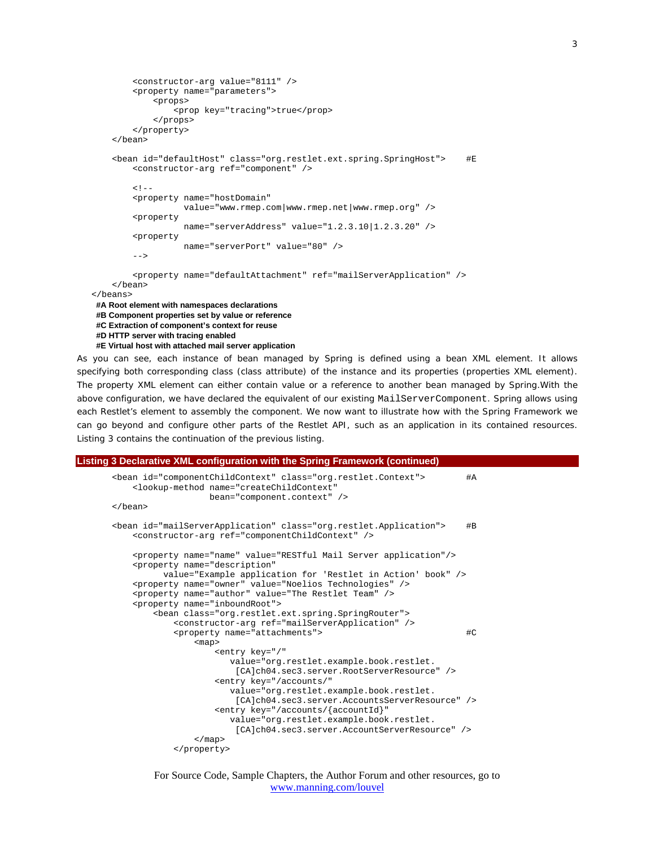```
 <constructor-arg value="8111" />
         <property name="parameters">
              <props>
                  <prop key="tracing">true</prop>
              </props>
         </property>
     </bean>
     <bean id="defaultHost" class="org.restlet.ext.spring.SpringHost"> #E
         <constructor-arg ref="component" />
        < ! - <property name="hostDomain"
                    value="www.rmep.com|www.rmep.net|www.rmep.org" />
          <property
                    name="serverAddress" value="1.2.3.10|1.2.3.20" />
          <property
                    name="serverPort" value="80" />
        -- <property name="defaultAttachment" ref="mailServerApplication" />
     </bean>
</beans>
#A Root element with namespaces declarations
#B Component properties set by value or reference
 #C Extraction of component's context for reuse
 #D HTTP server with tracing enabled
 #E Virtual host with attached mail server application
```
As you can see, each instance of bean managed by Spring is defined using a bean XML element. It allows specifying both corresponding class (class attribute) of the instance and its properties (properties XML element). The property XML element can either contain value or a reference to another bean managed by Spring.With the above configuration, we have declared the equivalent of our existing MailServerComponent. Spring allows using each Restlet's element to assembly the component. We now want to illustrate how with the Spring Framework we can go beyond and configure other parts of the Restlet API, such as an application in its contained resources. Listing 3 contains the continuation of the previous listing.

```
Listing 3 Declarative XML configuration with the Spring Framework (continued)
        <bean id="componentChildContext" class="org.restlet.Context"> #A
            <lookup-method name="createChildContext"
                          bean="component.context" />
        </bean>
        <bean id="mailServerApplication" class="org.restlet.Application"> #B
            <constructor-arg ref="componentChildContext" />
            <property name="name" value="RESTful Mail Server application"/>
            <property name="description"
                 value="Example application for 'Restlet in Action' book" />
            <property name="owner" value="Noelios Technologies" />
            <property name="author" value="The Restlet Team" />
            <property name="inboundRoot">
                <bean class="org.restlet.ext.spring.SpringRouter">
                    <constructor-arg ref="mailServerApplication" />
                    <property name="attachments"> #C
                        <map>
                            <entry key="/"
                               value="org.restlet.example.book.restlet.
                                [CA]ch04.sec3.server.RootServerResource" />
                            <entry key="/accounts/"
                               value="org.restlet.example.book.restlet.
                                [CA]ch04.sec3.server.AccountsServerResource" />
                            <entry key="/accounts/{accountId}"
                               value="org.restlet.example.book.restlet.
                                [CA]ch04.sec3.server.AccountServerResource" />
                        </map>
                    </property>
```

```
For Source Code, Sample Chapters, the Author Forum and other resources, go to
                         www.manning.com/louvel
```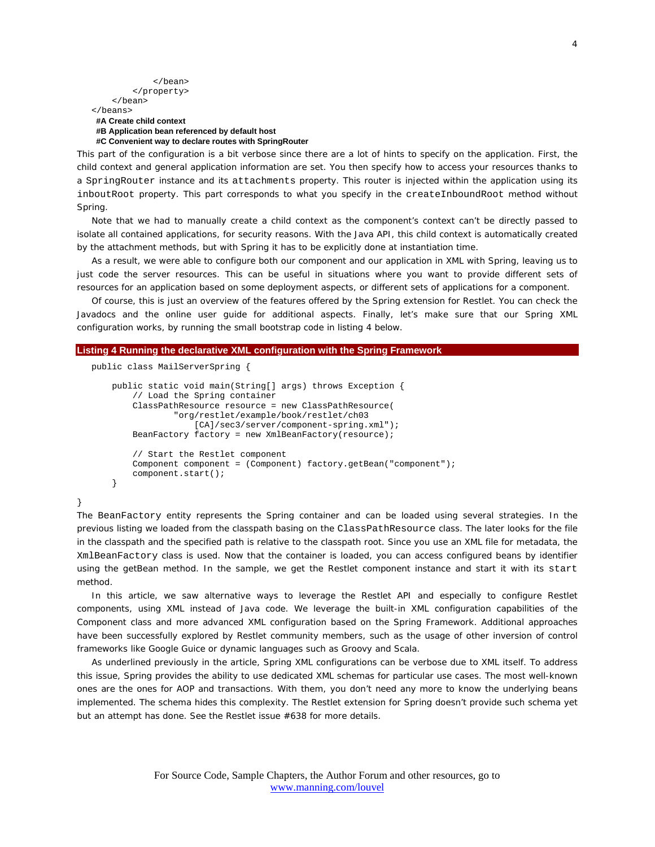```
 </bean>
           </property>
      </bean>
</beans>
 #A Create child context
 #B Application bean referenced by default host
 #C Convenient way to declare routes with SpringRouter
```
This part of the configuration is a bit verbose since there are a lot of hints to specify on the application. First, the child context and general application information are set. You then specify how to access your resources thanks to a SpringRouter instance and its attachments property. This router is injected within the application using its inboutRoot property. This part corresponds to what you specify in the createInboundRoot method without Spring.

Note that we had to manually create a child context as the component's context can't be directly passed to isolate all contained applications, for security reasons. With the Java API, this child context is automatically created by the attachment methods, but with Spring it has to be explicitly done at instantiation time.

As a result, we were able to configure both our component and our application in XML with Spring, leaving us to just code the server resources. This can be useful in situations where you want to provide different sets of resources for an application based on some deployment aspects, or different sets of applications for a component.

Of course, this is just an overview of the features offered by the Spring extension for Restlet. You can check the Javadocs and the online user guide for additional aspects. Finally, let's make sure that our Spring XML configuration works, by running the small bootstrap code in listing 4 below.

#### **Listing 4 Running the declarative XML configuration with the Spring Framework**

```
public class MailServerSpring {
```
}

```
 public static void main(String[] args) throws Exception {
     // Load the Spring container
     ClassPathResource resource = new ClassPathResource(
             "org/restlet/example/book/restlet/ch03
                [CA]/sec3/server/component-spring.xml");
     BeanFactory factory = new XmlBeanFactory(resource);
     // Start the Restlet component
     Component component = (Component) factory.getBean("component");
     component.start();
 }
```
The BeanFactory entity represents the Spring container and can be loaded using several strategies. In the previous listing we loaded from the classpath basing on the ClassPathResource class. The later looks for the file in the classpath and the specified path is relative to the classpath root. Since you use an XML file for metadata, the XmlBeanFactory class is used. Now that the container is loaded, you can access configured beans by identifier using the getBean method. In the sample, we get the Restlet component instance and start it with its start method.

In this article, we saw alternative ways to leverage the Restlet API and especially to configure Restlet components, using XML instead of Java code. We leverage the built-in XML configuration capabilities of the Component class and more advanced XML configuration based on the Spring Framework. Additional approaches have been successfully explored by Restlet community members, such as the usage of other inversion of control frameworks like Google Guice or dynamic languages such as Groovy and Scala.

As underlined previously in the article, Spring XML configurations can be verbose due to XML itself. To address this issue, Spring provides the ability to use dedicated XML schemas for particular use cases. The most well-known ones are the ones for AOP and transactions. With them, you don't need any more to know the underlying beans implemented. The schema hides this complexity. The Restlet extension for Spring doesn't provide such schema yet but an attempt has done. See the Restlet issue #638 for more details.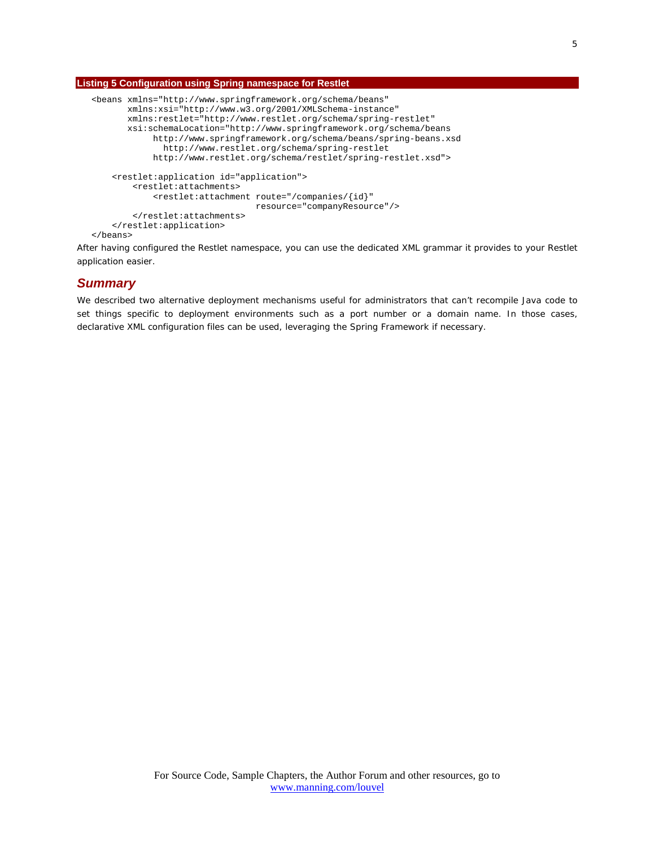## **Listing 5 Configuration using Spring namespace for Restlet**

```
<beans xmlns="http://www.springframework.org/schema/beans"
        xmlns:xsi="http://www.w3.org/2001/XMLSchema-instance"
        xmlns:restlet="http://www.restlet.org/schema/spring-restlet"
        xsi:schemaLocation="http://www.springframework.org/schema/beans
             http://www.springframework.org/schema/beans/spring-beans.xsd
               http://www.restlet.org/schema/spring-restlet
             http://www.restlet.org/schema/restlet/spring-restlet.xsd">
     <restlet:application id="application">
         <restlet:attachments>
             <restlet:attachment route="/companies/{id}"
                                 resource="companyResource"/>
         </restlet:attachments>
     </restlet:application>
</beans>
```
After having configured the Restlet namespace, you can use the dedicated XML grammar it provides to your Restlet application easier.

## *Summary*

We described two alternative deployment mechanisms useful for administrators that can't recompile Java code to set things specific to deployment environments such as a port number or a domain name. In those cases, declarative XML configuration files can be used, leveraging the Spring Framework if necessary.